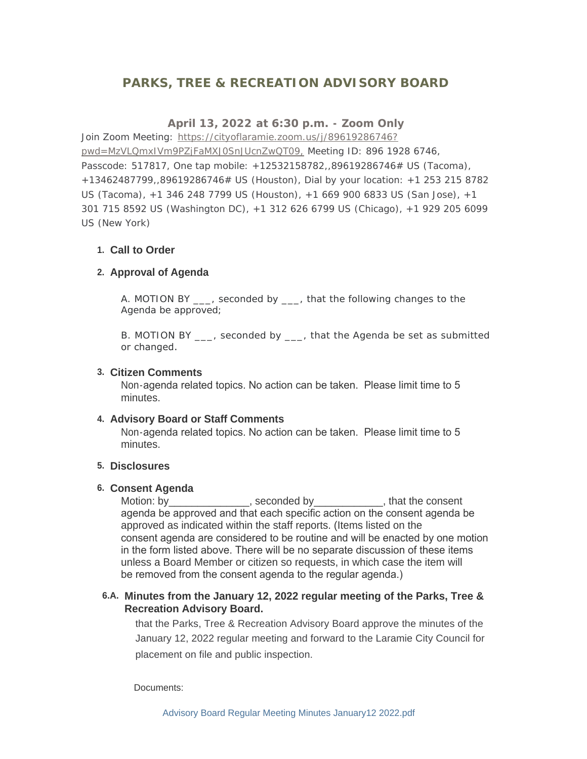# **PARKS, TREE & RECREATION ADVISORY BOARD**

# **April 13, 2022 at 6:30 p.m. - Zoom Only**

Join Zoom Meeting: https://cityoflaramie.zoom.us/j/89619286746? pwd=MzVLQmxIVm[9PZjFaMXJ0SnJUcnZwQT09, Meeting ID: 896 1928 6746,](https://cityoflaramie.zoom.us/j/89619286746?pwd=MzVLQmxIVm9PZjFaMXJ0SnJUcnZwQT09,)  Passcode: 517817, One tap mobile: +12532158782,,89619286746# US (Tacoma), +13462487799,,89619286746# US (Houston), Dial by your location: +1 253 215 8782 US (Tacoma), +1 346 248 7799 US (Houston), +1 669 900 6833 US (San Jose), +1 301 715 8592 US (Washington DC), +1 312 626 6799 US (Chicago), +1 929 205 6099 US (New York)

# **Call to Order 1.**

#### **Approval of Agenda 2.**

A. MOTION BY \_\_\_, seconded by \_\_\_, that the following changes to the Agenda be approved;

B. MOTION BY \_\_\_, seconded by \_\_\_, that the Agenda be set as submitted or changed.

#### **Citizen Comments 3.**

Non-agenda related topics. No action can be taken. Please limit time to 5 minutes.

#### **Advisory Board or Staff Comments 4.**

Non-agenda related topics. No action can be taken. Please limit time to 5 minutes.

#### **Disclosures 5.**

#### **Consent Agenda 6.**

Motion: by\_\_\_\_\_\_\_\_\_\_\_\_\_\_\_, seconded by\_\_\_\_\_\_\_\_\_\_\_\_, that the consent agenda be approved and that each specific action on the consent agenda be approved as indicated within the staff reports. (Items listed on the consent agenda are considered to be routine and will be enacted by one motion in the form listed above. There will be no separate discussion of these items unless a Board Member or citizen so requests, in which case the item will be removed from the consent agenda to the regular agenda.)

### **Minutes from the January 12, 2022 regular meeting of the Parks, Tree & 6.A. Recreation Advisory Board.**

that the Parks, Tree & Recreation Advisory Board approve the minutes of the January 12, 2022 regular meeting and forward to the Laramie City Council for placement on file and public inspection.

Documents: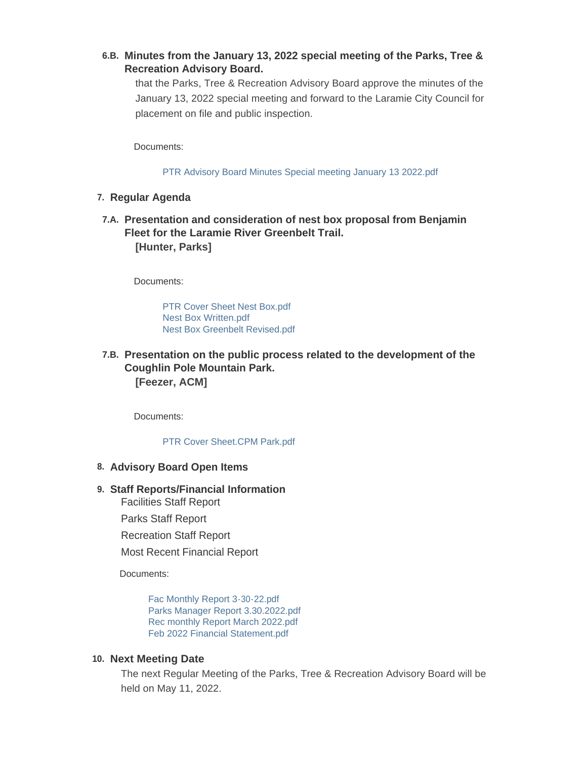# **Minutes from the January 13, 2022 special meeting of the Parks, Tree & 6.B. Recreation Advisory Board.**

that the Parks, Tree & Recreation Advisory Board approve the minutes of the January 13, 2022 special meeting and forward to the Laramie City Council for placement on file and public inspection.

Documents:

[PTR Advisory Board Minutes Special meeting January 13 2022.pdf](https://cityoflaramie.org/AgendaCenter/ViewFile/Item/12205?fileID=16722)

- **Regular Agenda 7.**
- **Presentation and consideration of nest box proposal from Benjamin 7.A. Fleet for the Laramie River Greenbelt Trail. [Hunter, Parks]**

Documents:

[PTR Cover Sheet Nest Box.pdf](https://cityoflaramie.org/AgendaCenter/ViewFile/Item/12206?fileID=16723) [Nest Box Written.pdf](https://cityoflaramie.org/AgendaCenter/ViewFile/Item/12206?fileID=16724) [Nest Box Greenbelt Revised.pdf](https://cityoflaramie.org/AgendaCenter/ViewFile/Item/12206?fileID=16725)

# **Presentation on the public process related to the development of the 7.B. Coughlin Pole Mountain Park.**

**[Feezer, ACM]**

Documents:

[PTR Cover Sheet.CPM Park.pdf](https://cityoflaramie.org/AgendaCenter/ViewFile/Item/12207?fileID=16726)

### **Advisory Board Open Items 8.**

### **Staff Reports/Financial Information 9.**

Facilities Staff Report

Parks Staff Report

Recreation Staff Report

Most Recent Financial Report

Documents:

[Fac Monthly Report 3-30-22.pdf](https://cityoflaramie.org/AgendaCenter/ViewFile/Item/12202?fileID=16717) [Parks Manager Report 3.30.2022.pdf](https://cityoflaramie.org/AgendaCenter/ViewFile/Item/12202?fileID=16718) [Rec monthly Report March 2022.pdf](https://cityoflaramie.org/AgendaCenter/ViewFile/Item/12202?fileID=16719) [Feb 2022 Financial Statement.pdf](https://cityoflaramie.org/AgendaCenter/ViewFile/Item/12202?fileID=16720)

### **Next Meeting Date 10.**

The next Regular Meeting of the Parks, Tree & Recreation Advisory Board will be held on May 11, 2022.